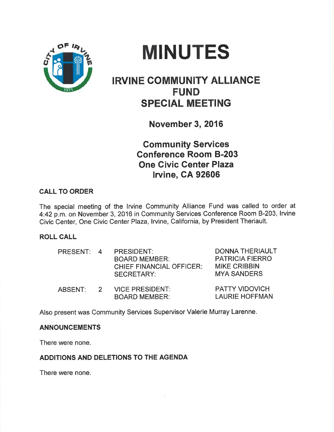



# IRVINE COMMUNITY ALLIANCE FUND SPECIAL MEETING

November 3, 2016

Community Seruices Gonference Room 8-203 One Civic Center Plaza lrvine, CA 92606

## CALL TO ORDER

The special meeting of the lrvine Community Alliance Fund was called to order at 4:42p.m. on November 3, 2016 in Community Services Conference Room 8-203, lrvine Civic Center, One Civic Center Plaza, Irvine, California, by President Theriault.

## ROLL CALL

| PRESENT: 4 |                | PRESIDENT:<br><b>BOARD MEMBER:</b><br><b>CHIEF FINANCIAL OFFICER:</b><br><b>SECRETARY:</b> | <b>DONNA THERIAULT</b><br><b>PATRICIA FIERRO</b><br><b>MIKE CRIBBIN</b><br><b>MYA SANDERS</b> |
|------------|----------------|--------------------------------------------------------------------------------------------|-----------------------------------------------------------------------------------------------|
| ABSENT:    | $\overline{2}$ | <b>VICE PRESIDENT:</b><br><b>BOARD MEMBER:</b>                                             | <b>PATTY VIDOVICH</b><br><b>LAURIE HOFFMAN</b>                                                |

Also present was Community Services Supervisor Valerie Murray Larenne.

## ANNOUNCEMENTS

There were none.

## ADDITIONS AND DELETIONS TO THE AGENDA

There were none.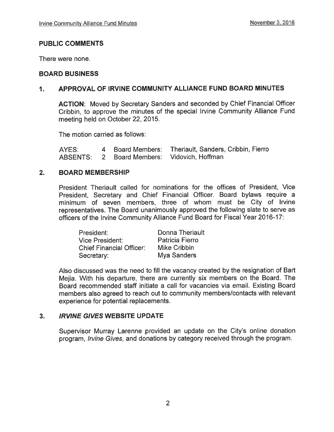## PUBLIC COMMENTS

There were none.

## BOARD BUSINESS

## 1. APPROVAL OF IRVINE COMMUNITY ALLIANCE FUND BOARD MINUTES

AGTION: Moved by Secretary Sanders and seconded by Chief Financial Officer Cribbin, to approve the minutes of the special lrvine Community Alliance Fund meeting held on October 22, 2015.

The motion carried as follows:

AYES: <sup>4</sup> ABSENTS: Board Members: 2 Board Members: Theriault, Sanders, Cribbin, Fierro Vidovich, Hoffman

## 2. BOARD MEMBERSHIP

President Theriault called for nominations for the offices of President, Vice President, Secretary and Chief Financial Officer. Board bylaws require a minimum of seven members, three of whom must be City of lrvine representatives. The Board unanimously approved the following slate to serve as officers of the lrvine Community Alliance Fund Board for Fiscal Year 2016-17:

| President:                      | <b>Donna Theriault</b> |
|---------------------------------|------------------------|
| <b>Vice President:</b>          | Patricia Fierro        |
| <b>Chief Financial Officer:</b> | Mike Cribbin           |
| Secretary:                      | Mya Sanders            |

Also discussed was the need to fill the vacancy created by the resignation of Bart Mejia. With his departure, there are currently six members on the Board. The Board recommended staff initiate a call for vacancies via email. Existing Board members also agreed to reach out to community members/contacts with relevant experience for potential replacements.

## 3. IRVINE GIVES WEBSITE UPDATE

Supervisor Murray Larenne provided an update on the City's online donation program, *Irvine Gives*, and donations by category received through the program.